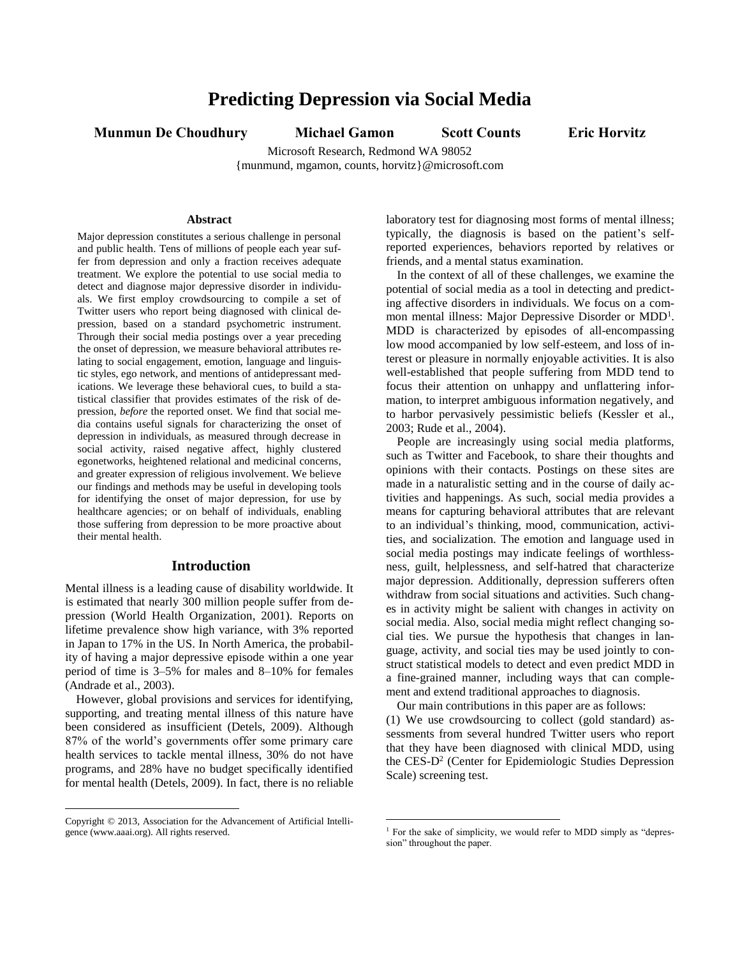# **Predicting Depression via Social Media**

**Munmun De Choudhury Michael Gamon Scott Counts Eric Horvitz**

Microsoft Research, Redmond WA 98052 {munmund, mgamon, counts, horvitz}@microsoft.com

 $\overline{a}$ 

## **Abstract**

Major depression constitutes a serious challenge in personal and public health. Tens of millions of people each year suffer from depression and only a fraction receives adequate treatment. We explore the potential to use social media to detect and diagnose major depressive disorder in individuals. We first employ crowdsourcing to compile a set of Twitter users who report being diagnosed with clinical depression, based on a standard psychometric instrument. Through their social media postings over a year preceding the onset of depression, we measure behavioral attributes relating to social engagement, emotion, language and linguistic styles, ego network, and mentions of antidepressant medications. We leverage these behavioral cues, to build a statistical classifier that provides estimates of the risk of depression, *before* the reported onset. We find that social media contains useful signals for characterizing the onset of depression in individuals, as measured through decrease in social activity, raised negative affect, highly clustered egonetworks, heightened relational and medicinal concerns, and greater expression of religious involvement. We believe our findings and methods may be useful in developing tools for identifying the onset of major depression, for use by healthcare agencies; or on behalf of individuals, enabling those suffering from depression to be more proactive about their mental health.

# **Introduction**

Mental illness is a leading cause of disability worldwide. It is estimated that nearly 300 million people suffer from depression (World Health Organization, 2001). Reports on lifetime prevalence show high variance, with 3% reported in Japan to 17% in the US. In North America, the probability of having a major depressive episode within a one year period of time is 3–5% for males and 8–10% for females (Andrade et al., 2003).

However, global provisions and services for identifying, supporting, and treating mental illness of this nature have been considered as insufficient (Detels, 2009). Although 87% of the world's governments offer some primary care health services to tackle mental illness, 30% do not have programs, and 28% have no budget specifically identified for mental health (Detels, 2009). In fact, there is no reliable

 $\overline{a}$ 

laboratory test for diagnosing most forms of mental illness; typically, the diagnosis is based on the patient's selfreported experiences, behaviors reported by relatives or friends, and a mental status examination.

In the context of all of these challenges, we examine the potential of social media as a tool in detecting and predicting affective disorders in individuals. We focus on a common mental illness: Major Depressive Disorder or MDD<sup>1</sup>. MDD is characterized by episodes of all-encompassing low mood accompanied by low self-esteem, and loss of interest or pleasure in normally enjoyable activities. It is also well-established that people suffering from MDD tend to focus their attention on unhappy and unflattering information, to interpret ambiguous information negatively, and to harbor pervasively pessimistic beliefs (Kessler et al., 2003; Rude et al., 2004).

People are increasingly using social media platforms, such as Twitter and Facebook, to share their thoughts and opinions with their contacts. Postings on these sites are made in a naturalistic setting and in the course of daily activities and happenings. As such, social media provides a means for capturing behavioral attributes that are relevant to an individual's thinking, mood, communication, activities, and socialization. The emotion and language used in social media postings may indicate feelings of worthlessness, guilt, helplessness, and self-hatred that characterize major depression. Additionally, depression sufferers often withdraw from social situations and activities. Such changes in activity might be salient with changes in activity on social media. Also, social media might reflect changing social ties. We pursue the hypothesis that changes in language, activity, and social ties may be used jointly to construct statistical models to detect and even predict MDD in a fine-grained manner, including ways that can complement and extend traditional approaches to diagnosis.

Our main contributions in this paper are as follows: (1) We use crowdsourcing to collect (gold standard) assessments from several hundred Twitter users who report that they have been diagnosed with clinical MDD, using the CES-D<sup>2</sup> (Center for Epidemiologic Studies Depression Scale) screening test.

Copyright © 2013, Association for the Advancement of Artificial Intelligence (www.aaai.org). All rights reserved.

<sup>&</sup>lt;sup>1</sup> For the sake of simplicity, we would refer to MDD simply as "depression" throughout the paper.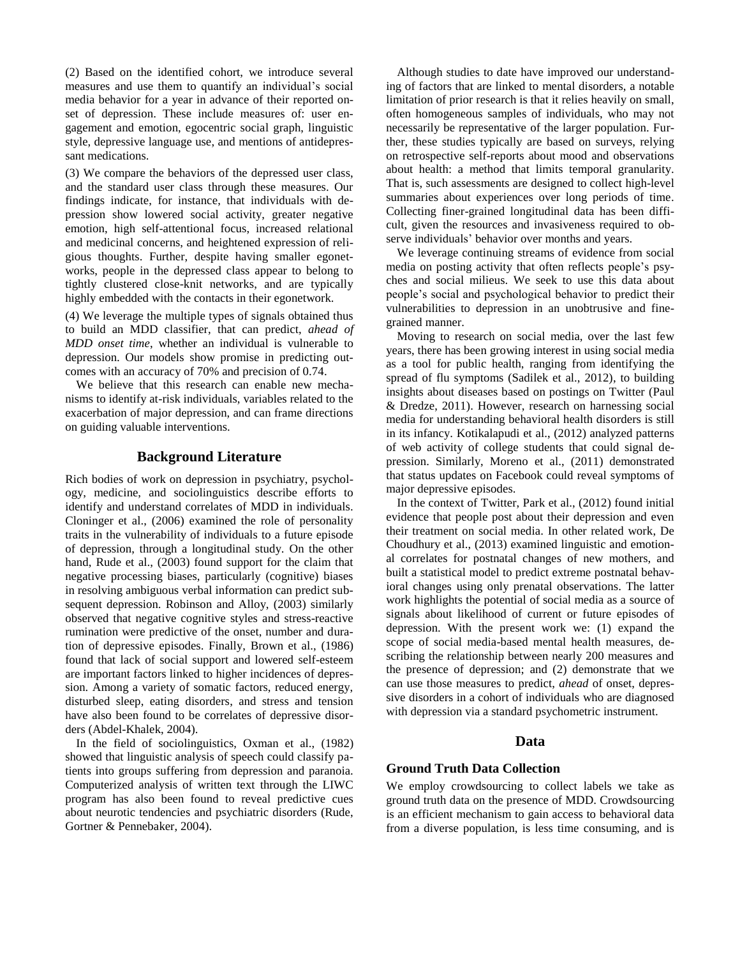(2) Based on the identified cohort, we introduce several measures and use them to quantify an individual's social media behavior for a year in advance of their reported onset of depression. These include measures of: user engagement and emotion, egocentric social graph, linguistic style, depressive language use, and mentions of antidepressant medications.

(3) We compare the behaviors of the depressed user class, and the standard user class through these measures. Our findings indicate, for instance, that individuals with depression show lowered social activity, greater negative emotion, high self-attentional focus, increased relational and medicinal concerns, and heightened expression of religious thoughts. Further, despite having smaller egonetworks, people in the depressed class appear to belong to tightly clustered close-knit networks, and are typically highly embedded with the contacts in their egonetwork.

(4) We leverage the multiple types of signals obtained thus to build an MDD classifier, that can predict, *ahead of MDD onset time*, whether an individual is vulnerable to depression. Our models show promise in predicting outcomes with an accuracy of 70% and precision of 0.74.

We believe that this research can enable new mechanisms to identify at-risk individuals, variables related to the exacerbation of major depression, and can frame directions on guiding valuable interventions.

## **Background Literature**

Rich bodies of work on depression in psychiatry, psychology, medicine, and sociolinguistics describe efforts to identify and understand correlates of MDD in individuals. Cloninger et al., (2006) examined the role of personality traits in the vulnerability of individuals to a future episode of depression, through a longitudinal study. On the other hand, Rude et al., (2003) found support for the claim that negative processing biases, particularly (cognitive) biases in resolving ambiguous verbal information can predict subsequent depression. Robinson and Alloy, (2003) similarly observed that negative cognitive styles and stress-reactive rumination were predictive of the onset, number and duration of depressive episodes. Finally, Brown et al., (1986) found that lack of social support and lowered self-esteem are important factors linked to higher incidences of depression. Among a variety of somatic factors, reduced energy, disturbed sleep, eating disorders, and stress and tension have also been found to be correlates of depressive disorders (Abdel-Khalek, 2004).

In the field of sociolinguistics, Oxman et al., (1982) showed that linguistic analysis of speech could classify patients into groups suffering from depression and paranoia. Computerized analysis of written text through the LIWC program has also been found to reveal predictive cues about neurotic tendencies and psychiatric disorders (Rude, Gortner & Pennebaker, 2004).

Although studies to date have improved our understanding of factors that are linked to mental disorders, a notable limitation of prior research is that it relies heavily on small, often homogeneous samples of individuals, who may not necessarily be representative of the larger population. Further, these studies typically are based on surveys, relying on retrospective self-reports about mood and observations about health: a method that limits temporal granularity. That is, such assessments are designed to collect high-level summaries about experiences over long periods of time. Collecting finer-grained longitudinal data has been difficult, given the resources and invasiveness required to observe individuals' behavior over months and years.

We leverage continuing streams of evidence from social media on posting activity that often reflects people's psyches and social milieus. We seek to use this data about people's social and psychological behavior to predict their vulnerabilities to depression in an unobtrusive and finegrained manner.

Moving to research on social media, over the last few years, there has been growing interest in using social media as a tool for public health, ranging from identifying the spread of flu symptoms (Sadilek et al., 2012), to building insights about diseases based on postings on Twitter (Paul & Dredze, 2011). However, research on harnessing social media for understanding behavioral health disorders is still in its infancy. Kotikalapudi et al., (2012) analyzed patterns of web activity of college students that could signal depression. Similarly, Moreno et al., (2011) demonstrated that status updates on Facebook could reveal symptoms of major depressive episodes.

In the context of Twitter, Park et al., (2012) found initial evidence that people post about their depression and even their treatment on social media. In other related work, De Choudhury et al., (2013) examined linguistic and emotional correlates for postnatal changes of new mothers, and built a statistical model to predict extreme postnatal behavioral changes using only prenatal observations. The latter work highlights the potential of social media as a source of signals about likelihood of current or future episodes of depression. With the present work we: (1) expand the scope of social media-based mental health measures, describing the relationship between nearly 200 measures and the presence of depression; and (2) demonstrate that we can use those measures to predict, *ahead* of onset, depressive disorders in a cohort of individuals who are diagnosed with depression via a standard psychometric instrument.

#### **Data**

#### **Ground Truth Data Collection**

We employ crowdsourcing to collect labels we take as ground truth data on the presence of MDD. Crowdsourcing is an efficient mechanism to gain access to behavioral data from a diverse population, is less time consuming, and is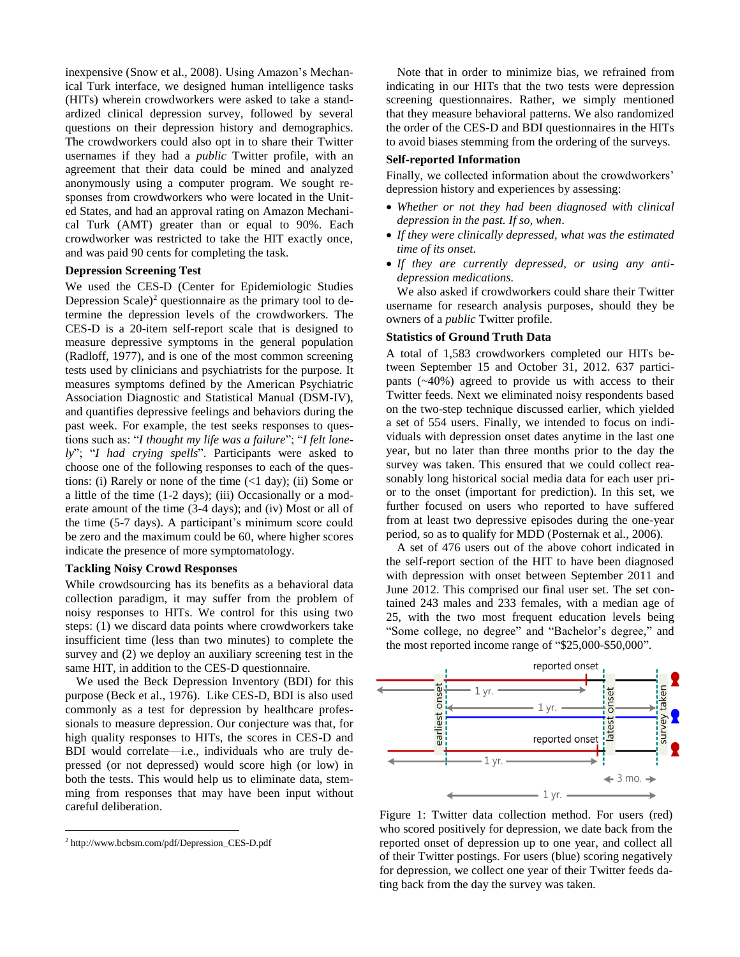inexpensive (Snow et al., 2008). Using Amazon's Mechanical Turk interface, we designed human intelligence tasks (HITs) wherein crowdworkers were asked to take a standardized clinical depression survey, followed by several questions on their depression history and demographics. The crowdworkers could also opt in to share their Twitter usernames if they had a *public* Twitter profile, with an agreement that their data could be mined and analyzed anonymously using a computer program. We sought responses from crowdworkers who were located in the United States, and had an approval rating on Amazon Mechanical Turk (AMT) greater than or equal to 90%. Each crowdworker was restricted to take the HIT exactly once, and was paid 90 cents for completing the task.

#### **Depression Screening Test**

We used the CES-D (Center for Epidemiologic Studies Depression Scale) <sup>2</sup> questionnaire as the primary tool to determine the depression levels of the crowdworkers. The CES-D is a 20-item self-report scale that is designed to measure depressive symptoms in the general population (Radloff, 1977), and is one of the most common screening tests used by clinicians and psychiatrists for the purpose. It measures symptoms defined by the American Psychiatric Association Diagnostic and Statistical Manual (DSM-IV), and quantifies depressive feelings and behaviors during the past week. For example, the test seeks responses to questions such as: "*I thought my life was a failure*"; "*I felt lonely*"; "*I had crying spells*". Participants were asked to choose one of the following responses to each of the questions: (i) Rarely or none of the time (<1 day); (ii) Some or a little of the time (1-2 days); (iii) Occasionally or a moderate amount of the time (3-4 days); and (iv) Most or all of the time (5-7 days). A participant's minimum score could be zero and the maximum could be 60, where higher scores indicate the presence of more symptomatology.

#### **Tackling Noisy Crowd Responses**

While crowdsourcing has its benefits as a behavioral data collection paradigm, it may suffer from the problem of noisy responses to HITs. We control for this using two steps: (1) we discard data points where crowdworkers take insufficient time (less than two minutes) to complete the survey and (2) we deploy an auxiliary screening test in the same HIT, in addition to the CES-D questionnaire.

We used the Beck Depression Inventory (BDI) for this purpose (Beck et al., 1976). Like CES-D, BDI is also used commonly as a test for depression by healthcare professionals to measure depression. Our conjecture was that, for high quality responses to HITs, the scores in CES-D and BDI would correlate—i.e., individuals who are truly depressed (or not depressed) would score high (or low) in both the tests. This would help us to eliminate data, stemming from responses that may have been input without careful deliberation.

 $\overline{a}$ 

Note that in order to minimize bias, we refrained from indicating in our HITs that the two tests were depression screening questionnaires. Rather, we simply mentioned that they measure behavioral patterns. We also randomized the order of the CES-D and BDI questionnaires in the HITs to avoid biases stemming from the ordering of the surveys.

## **Self-reported Information**

Finally, we collected information about the crowdworkers' depression history and experiences by assessing:

- *Whether or not they had been diagnosed with clinical depression in the past. If so, when*.
- *If they were clinically depressed, what was the estimated time of its onset*.
- *If they are currently depressed, or using any antidepression medications.*

We also asked if crowdworkers could share their Twitter username for research analysis purposes, should they be owners of a *public* Twitter profile.

#### **Statistics of Ground Truth Data**

A total of 1,583 crowdworkers completed our HITs between September 15 and October 31, 2012. 637 participants (~40%) agreed to provide us with access to their Twitter feeds. Next we eliminated noisy respondents based on the two-step technique discussed earlier, which yielded a set of 554 users. Finally, we intended to focus on individuals with depression onset dates anytime in the last one year, but no later than three months prior to the day the survey was taken. This ensured that we could collect reasonably long historical social media data for each user prior to the onset (important for prediction). In this set, we further focused on users who reported to have suffered from at least two depressive episodes during the one-year period, so as to qualify for MDD (Posternak et al., 2006).

A set of 476 users out of the above cohort indicated in the self-report section of the HIT to have been diagnosed with depression with onset between September 2011 and June 2012. This comprised our final user set. The set contained 243 males and 233 females, with a median age of 25, with the two most frequent education levels being "Some college, no degree" and "Bachelor's degree," and the most reported income range of "\$25,000-\$50,000".



Figure 1: Twitter data collection method. For users (red) who scored positively for depression, we date back from the reported onset of depression up to one year, and collect all of their Twitter postings. For users (blue) scoring negatively for depression, we collect one year of their Twitter feeds dating back from the day the survey was taken.

<sup>2</sup> http://www.bcbsm.com/pdf/Depression\_CES-D.pdf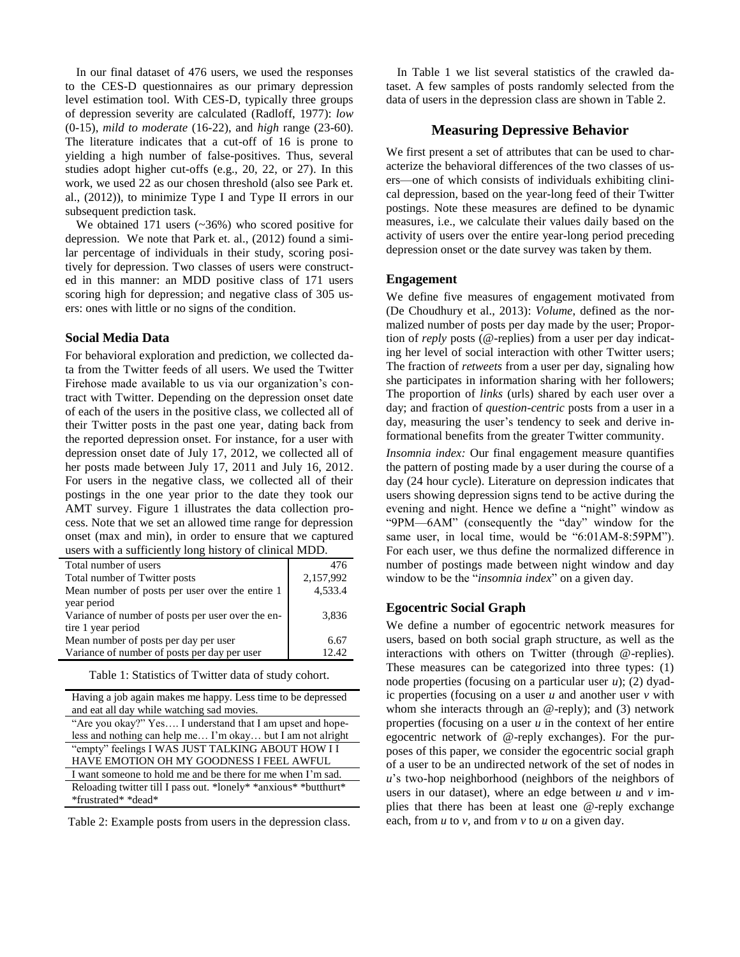In our final dataset of 476 users, we used the responses to the CES-D questionnaires as our primary depression level estimation tool. With CES-D, typically three groups of depression severity are calculated (Radloff, 1977): *low* (0-15), *mild to moderate* (16-22), and *high* range (23-60). The literature indicates that a cut-off of 16 is prone to yielding a high number of false-positives. Thus, several studies adopt higher cut-offs (e.g., 20, 22, or 27). In this work, we used 22 as our chosen threshold (also see Park et. al., (2012)), to minimize Type I and Type II errors in our subsequent prediction task.

We obtained 171 users (~36%) who scored positive for depression. We note that Park et. al., (2012) found a similar percentage of individuals in their study, scoring positively for depression. Two classes of users were constructed in this manner: an MDD positive class of 171 users scoring high for depression; and negative class of 305 users: ones with little or no signs of the condition.

# **Social Media Data**

For behavioral exploration and prediction, we collected data from the Twitter feeds of all users. We used the Twitter Firehose made available to us via our organization's contract with Twitter. Depending on the depression onset date of each of the users in the positive class, we collected all of their Twitter posts in the past one year, dating back from the reported depression onset. For instance, for a user with depression onset date of July 17, 2012, we collected all of her posts made between July 17, 2011 and July 16, 2012. For users in the negative class, we collected all of their postings in the one year prior to the date they took our AMT survey. Figure 1 illustrates the data collection process. Note that we set an allowed time range for depression onset (max and min), in order to ensure that we captured users with a sufficiently long history of clinical MDD.

| $\frac{1}{2}$ and $\frac{1}{2}$ and $\frac{1}{2}$ and $\frac{1}{2}$ and $\frac{1}{2}$ and $\frac{1}{2}$ and $\frac{1}{2}$ and $\frac{1}{2}$ . |           |
|-----------------------------------------------------------------------------------------------------------------------------------------------|-----------|
| Total number of users                                                                                                                         | 476       |
| Total number of Twitter posts                                                                                                                 | 2,157,992 |
| Mean number of posts per user over the entire 1                                                                                               | 4,533.4   |
| year period                                                                                                                                   |           |
| Variance of number of posts per user over the en-                                                                                             | 3,836     |
| tire 1 year period                                                                                                                            |           |
| Mean number of posts per day per user                                                                                                         | 6.67      |
| Variance of number of posts per day per user                                                                                                  | 12.42     |

Table 1: Statistics of Twitter data of study cohort.

| Having a job again makes me happy. Less time to be depressed     |
|------------------------------------------------------------------|
| and eat all day while watching sad movies.                       |
| "Are you okay?" Yes I understand that I am upset and hope-       |
| less and nothing can help me I'm okay but I am not alright       |
| "empty" feelings I WAS JUST TALKING ABOUT HOW I I                |
| HAVE EMOTION OH MY GOODNESS I FEEL AWFUL                         |
| I want someone to hold me and be there for me when I'm sad.      |
| Reloading twitter till I pass out. *lonely* *anxious* *butthurt* |
| *frustrated* *dead*                                              |

Table 2: Example posts from users in the depression class.

In Table 1 we list several statistics of the crawled dataset. A few samples of posts randomly selected from the data of users in the depression class are shown in Table 2.

# **Measuring Depressive Behavior**

We first present a set of attributes that can be used to characterize the behavioral differences of the two classes of users—one of which consists of individuals exhibiting clinical depression, based on the year-long feed of their Twitter postings. Note these measures are defined to be dynamic measures, i.e., we calculate their values daily based on the activity of users over the entire year-long period preceding depression onset or the date survey was taken by them.

## **Engagement**

We define five measures of engagement motivated from (De Choudhury et al., 2013): *Volume*, defined as the normalized number of posts per day made by the user; Proportion of *reply* posts (@-replies) from a user per day indicating her level of social interaction with other Twitter users; The fraction of *retweets* from a user per day, signaling how she participates in information sharing with her followers; The proportion of *links* (urls) shared by each user over a day; and fraction of *question-centric* posts from a user in a day, measuring the user's tendency to seek and derive informational benefits from the greater Twitter community.

*Insomnia index:* Our final engagement measure quantifies the pattern of posting made by a user during the course of a day (24 hour cycle). Literature on depression indicates that users showing depression signs tend to be active during the evening and night. Hence we define a "night" window as "9PM—6AM" (consequently the "day" window for the same user, in local time, would be "6:01AM-8:59PM"). For each user, we thus define the normalized difference in number of postings made between night window and day window to be the "*insomnia index*" on a given day.

## **Egocentric Social Graph**

We define a number of egocentric network measures for users, based on both social graph structure, as well as the interactions with others on Twitter (through @-replies). These measures can be categorized into three types: (1) node properties (focusing on a particular user *u*); (2) dyadic properties (focusing on a user *u* and another user *v* with whom she interacts through an @-reply); and (3) network properties (focusing on a user *u* in the context of her entire egocentric network of @-reply exchanges). For the purposes of this paper, we consider the egocentric social graph of a user to be an undirected network of the set of nodes in *u*'s two-hop neighborhood (neighbors of the neighbors of users in our dataset), where an edge between  $u$  and  $v$  implies that there has been at least one @-reply exchange each, from *u* to *v*, and from *v* to *u* on a given day.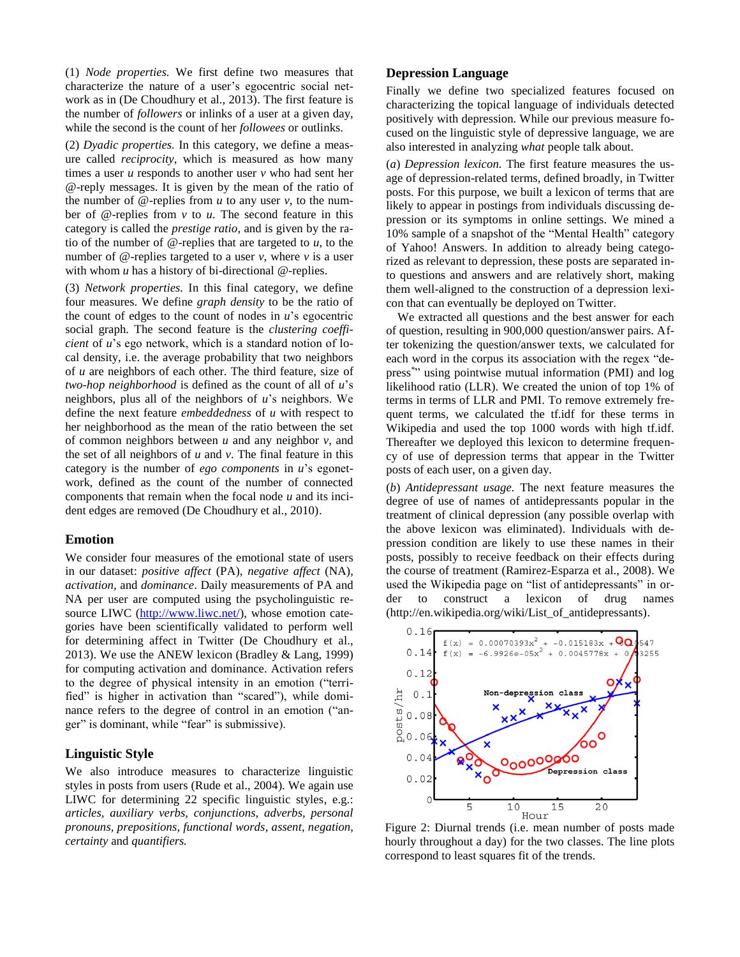(1) *Node properties.* We first define two measures that characterize the nature of a user's egocentric social network as in (De Choudhury et al., 2013). The first feature is the number of *followers* or inlinks of a user at a given day, while the second is the count of her *followees* or outlinks.

(2) *Dyadic properties.* In this category, we define a measure called *reciprocity*, which is measured as how many times a user *u* responds to another user *v* who had sent her @-reply messages. It is given by the mean of the ratio of the number of  $\omega$ -replies from  $u$  to any user  $v$ , to the number of @-replies from *v* to *u*. The second feature in this category is called the *prestige ratio*, and is given by the ratio of the number of @-replies that are targeted to *u*, to the number of  $\omega$ -replies targeted to a user *v*, where *v* is a user with whom *u* has a history of bi-directional @-replies.

(3) *Network properties.* In this final category, we define four measures. We define *graph density* to be the ratio of the count of edges to the count of nodes in *u*'s egocentric social graph. The second feature is the *clustering coefficient* of *u*'s ego network, which is a standard notion of local density, i.e. the average probability that two neighbors of *u* are neighbors of each other. The third feature, size of *two-hop neighborhood* is defined as the count of all of *u*'s neighbors, plus all of the neighbors of *u*'s neighbors. We define the next feature *embeddedness* of *u* with respect to her neighborhood as the mean of the ratio between the set of common neighbors between *u* and any neighbor *v*, and the set of all neighbors of *u* and *v*. The final feature in this category is the number of *ego components* in *u*'s egonetwork, defined as the count of the number of connected components that remain when the focal node *u* and its incident edges are removed (De Choudhury et al., 2010).

## **Emotion**

We consider four measures of the emotional state of users in our dataset: *positive affect* (PA), *negative affect* (NA), *activation,* and *dominance*. Daily measurements of PA and NA per user are computed using the psycholinguistic re-source LIWC [\(http://www.liwc.net/\)](http://www.liwc.net/), whose emotion categories have been scientifically validated to perform well for determining affect in Twitter (De Choudhury et al., 2013). We use the ANEW lexicon (Bradley & Lang, 1999) for computing activation and dominance. Activation refers to the degree of physical intensity in an emotion ("terrified" is higher in activation than "scared"), while dominance refers to the degree of control in an emotion ("anger" is dominant, while "fear" is submissive).

## **Linguistic Style**

We also introduce measures to characterize linguistic styles in posts from users (Rude et al., 2004). We again use LIWC for determining 22 specific linguistic styles, e.g.: *articles, auxiliary verbs, conjunctions, adverbs, personal pronouns, prepositions, functional words, assent, negation, certainty* and *quantifiers.*

# **Depression Language**

Finally we define two specialized features focused on characterizing the topical language of individuals detected positively with depression. While our previous measure focused on the linguistic style of depressive language, we are also interested in analyzing *what* people talk about.

(*a*) *Depression lexicon.* The first feature measures the usage of depression-related terms, defined broadly, in Twitter posts. For this purpose, we built a lexicon of terms that are likely to appear in postings from individuals discussing depression or its symptoms in online settings. We mined a 10% sample of a snapshot of the "Mental Health" category of Yahoo! Answers. In addition to already being categorized as relevant to depression, these posts are separated into questions and answers and are relatively short, making them well-aligned to the construction of a depression lexicon that can eventually be deployed on Twitter.

We extracted all questions and the best answer for each of question, resulting in 900,000 question/answer pairs. After tokenizing the question/answer texts, we calculated for each word in the corpus its association with the regex "depress*\** " using pointwise mutual information (PMI) and log likelihood ratio (LLR). We created the union of top 1% of terms in terms of LLR and PMI. To remove extremely frequent terms, we calculated the tf.idf for these terms in Wikipedia and used the top 1000 words with high tf.idf. Thereafter we deployed this lexicon to determine frequency of use of depression terms that appear in the Twitter posts of each user, on a given day.

(*b*) *Antidepressant usage.* The next feature measures the degree of use of names of antidepressants popular in the treatment of clinical depression (any possible overlap with the above lexicon was eliminated). Individuals with depression condition are likely to use these names in their posts, possibly to receive feedback on their effects during the course of treatment (Ramirez-Esparza et al., 2008). We used the Wikipedia page on "list of antidepressants" in order to construct a lexicon of drug names (http://en.wikipedia.org/wiki/List\_of\_antidepressants).



<span id="page-4-0"></span>Figure 2: Diurnal trends (i.e. mean number of posts made hourly throughout a day) for the two classes. The line plots correspond to least squares fit of the trends.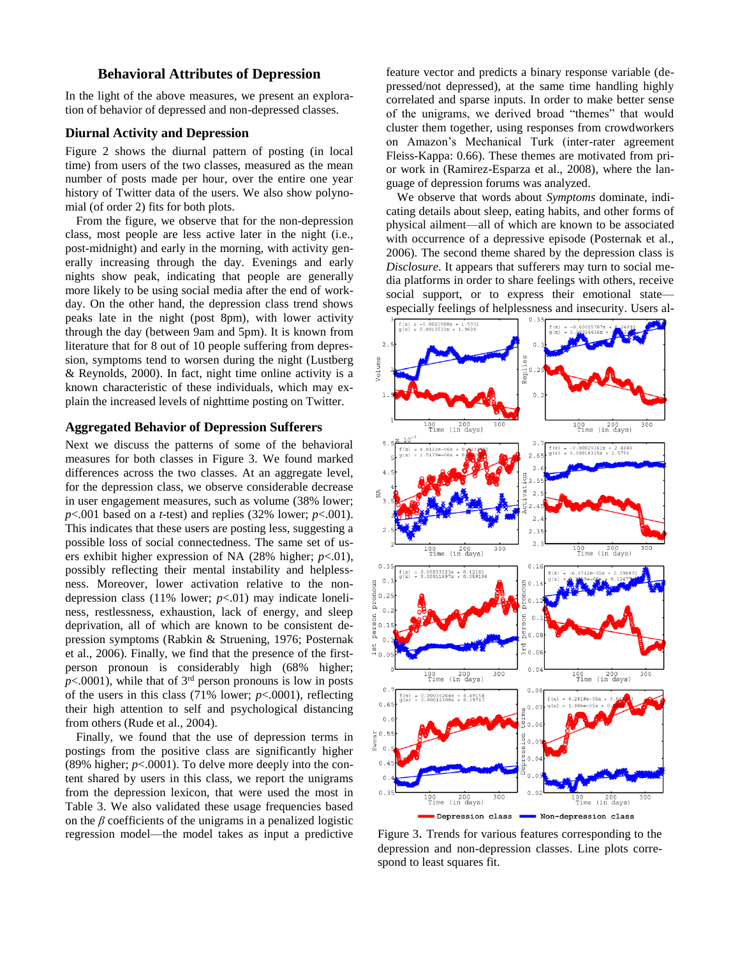# **Behavioral Attributes of Depression**

In the light of the above measures, we present an exploration of behavior of depressed and non-depressed classes.

#### **Diurnal Activity and Depression**

[Figure 2](#page-4-0) shows the diurnal pattern of posting (in local time) from users of the two classes, measured as the mean number of posts made per hour, over the entire one year history of Twitter data of the users. We also show polynomial (of order 2) fits for both plots.

From the figure, we observe that for the non-depression class, most people are less active later in the night (i.e., post-midnight) and early in the morning, with activity generally increasing through the day. Evenings and early nights show peak, indicating that people are generally more likely to be using social media after the end of workday. On the other hand, the depression class trend shows peaks late in the night (post 8pm), with lower activity through the day (between 9am and 5pm). It is known from literature that for 8 out of 10 people suffering from depression, symptoms tend to worsen during the night (Lustberg & Reynolds, 2000). In fact, night time online activity is a known characteristic of these individuals, which may explain the increased levels of nighttime posting on Twitter.

#### **Aggregated Behavior of Depression Sufferers**

Next we discuss the patterns of some of the behavioral measures for both classes in Figure 3. We found marked differences across the two classes. At an aggregate level, for the depression class, we observe considerable decrease in user engagement measures, such as volume (38% lower;  $p$ <.001 based on a *t*-test) and replies (32% lower;  $p$ <.001). This indicates that these users are posting less, suggesting a possible loss of social connectedness. The same set of users exhibit higher expression of NA (28% higher; *p*<.01), possibly reflecting their mental instability and helplessness. Moreover, lower activation relative to the nondepression class (11% lower; *p*<.01) may indicate loneliness, restlessness, exhaustion, lack of energy, and sleep deprivation, all of which are known to be consistent depression symptoms (Rabkin & Struening, 1976; Posternak et al., 2006). Finally, we find that the presence of the firstperson pronoun is considerably high (68% higher;  $p$ <.0001), while that of  $3<sup>rd</sup>$  person pronouns is low in posts of the users in this class (71% lower; *p*<.0001), reflecting their high attention to self and psychological distancing from others (Rude et al., 2004).

Finally, we found that the use of depression terms in postings from the positive class are significantly higher (89% higher;  $p<.0001$ ). To delve more deeply into the content shared by users in this class, we report the unigrams from the depression lexicon, that were used the most in Table 3. We also validated these usage frequencies based on the  $\beta$  coefficients of the unigrams in a penalized logistic regression model—the model takes as input a predictive

feature vector and predicts a binary response variable (depressed/not depressed), at the same time handling highly correlated and sparse inputs. In order to make better sense of the unigrams, we derived broad "themes" that would cluster them together, using responses from crowdworkers on Amazon's Mechanical Turk (inter-rater agreement Fleiss-Kappa: 0.66). These themes are motivated from prior work in (Ramirez-Esparza et al., 2008), where the language of depression forums was analyzed.

We observe that words about *Symptoms* dominate, indicating details about sleep, eating habits, and other forms of physical ailment—all of which are known to be associated with occurrence of a depressive episode (Posternak et al., 2006). The second theme shared by the depression class is *Disclosure*. It appears that sufferers may turn to social media platforms in order to share feelings with others, receive social support, or to express their emotional state especially feelings of helplessness and insecurity. Users al-



Figure 3. Trends for various features corresponding to the depression and non-depression classes. Line plots correspond to least squares fit.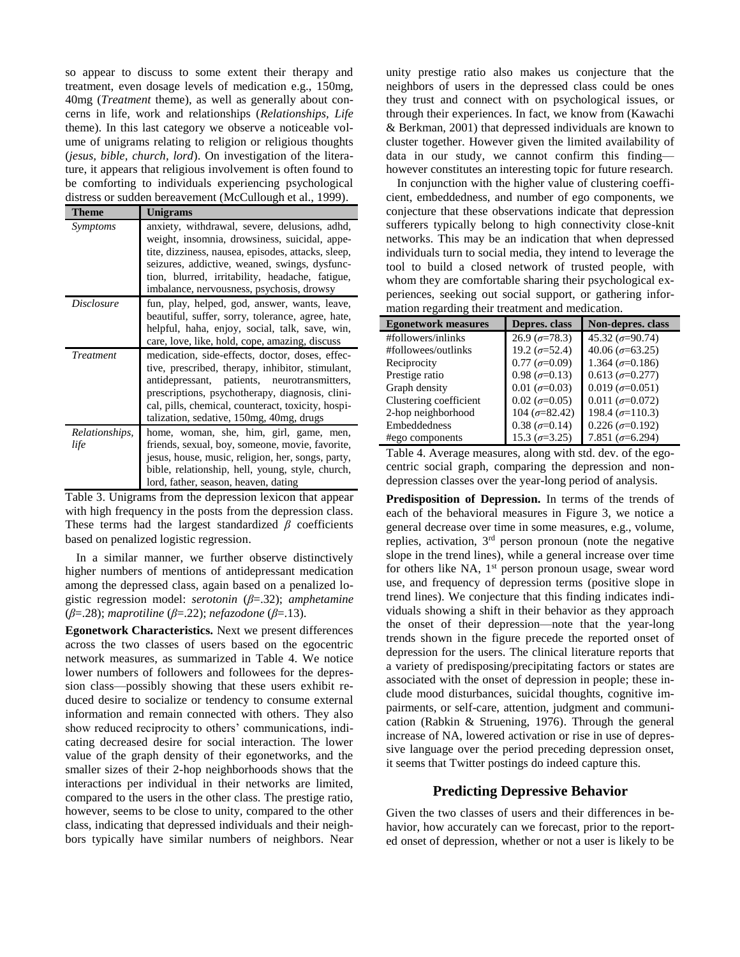so appear to discuss to some extent their therapy and treatment, even dosage levels of medication e.g., 150mg, 40mg (*Treatment* theme), as well as generally about concerns in life, work and relationships (*Relationships, Life* theme). In this last category we observe a noticeable volume of unigrams relating to religion or religious thoughts (*jesus, bible, church, lord*). On investigation of the literature, it appears that religious involvement is often found to be comforting to individuals experiencing psychological distress or sudden bereavement (McCullough et al., 1999).

| <b>Theme</b>           | <b>Unigrams</b>                                                                                                                                                                                                                                                                                          |
|------------------------|----------------------------------------------------------------------------------------------------------------------------------------------------------------------------------------------------------------------------------------------------------------------------------------------------------|
| Symptoms               | anxiety, withdrawal, severe, delusions, adhd,<br>weight, insomnia, drowsiness, suicidal, appe-<br>tite, dizziness, nausea, episodes, attacks, sleep,<br>seizures, addictive, weaned, swings, dysfunc-<br>tion, blurred, irritability, headache, fatigue,<br>imbalance, nervousness, psychosis, drowsy    |
| <i>Disclosure</i>      | fun, play, helped, god, answer, wants, leave,<br>beautiful, suffer, sorry, tolerance, agree, hate,<br>helpful, haha, enjoy, social, talk, save, win,<br>care, love, like, hold, cope, amazing, discuss                                                                                                   |
| <i>Treatment</i>       | medication, side-effects, doctor, doses, effec-<br>tive, prescribed, therapy, inhibitor, stimulant,<br>antidepressant, patients, neurotransmitters,<br>prescriptions, psychotherapy, diagnosis, clini-<br>cal, pills, chemical, counteract, toxicity, hospi-<br>talization, sedative, 150mg, 40mg, drugs |
| Relationships,<br>life | home, woman, she, him, girl, game, men,<br>friends, sexual, boy, someone, movie, favorite,<br>jesus, house, music, religion, her, songs, party,<br>bible, relationship, hell, young, style, church,<br>lord, father, season, heaven, dating                                                              |

Table 3. Unigrams from the depression lexicon that appear with high frequency in the posts from the depression class. These terms had the largest standardized *β* coefficients based on penalized logistic regression.

In a similar manner, we further observe distinctively higher numbers of mentions of antidepressant medication among the depressed class, again based on a penalized logistic regression model: *serotonin* (*β*=.32); *amphetamine* (*β*=.28); *maprotiline* (*β*=.22); *nefazodone* (*β*=.13).

**Egonetwork Characteristics.** Next we present differences across the two classes of users based on the egocentric network measures, as summarized in Table 4. We notice lower numbers of followers and followees for the depression class—possibly showing that these users exhibit reduced desire to socialize or tendency to consume external information and remain connected with others. They also show reduced reciprocity to others' communications, indicating decreased desire for social interaction. The lower value of the graph density of their egonetworks, and the smaller sizes of their 2-hop neighborhoods shows that the interactions per individual in their networks are limited, compared to the users in the other class. The prestige ratio, however, seems to be close to unity, compared to the other class, indicating that depressed individuals and their neighbors typically have similar numbers of neighbors. Near

unity prestige ratio also makes us conjecture that the neighbors of users in the depressed class could be ones they trust and connect with on psychological issues, or through their experiences. In fact, we know from (Kawachi & Berkman, 2001) that depressed individuals are known to cluster together. However given the limited availability of data in our study, we cannot confirm this finding however constitutes an interesting topic for future research.

In conjunction with the higher value of clustering coefficient, embeddedness, and number of ego components, we conjecture that these observations indicate that depression sufferers typically belong to high connectivity close-knit networks. This may be an indication that when depressed individuals turn to social media, they intend to leverage the tool to build a closed network of trusted people, with whom they are comfortable sharing their psychological experiences, seeking out social support, or gathering information regarding their treatment and medication.

| <b>Egonetwork measures</b> | Depres. class              | Non-depres. class            |
|----------------------------|----------------------------|------------------------------|
| #followers/inlinks         | $26.9~(\sigma=78.3)$       | 45.32 ( $\sigma = 90.74$ )   |
| #followees/outlinks        | 19.2 ( $\sigma = 52.4$ )   | 40.06 ( $\sigma$ =63.25)     |
| Reciprocity                | $0.77~(\sigma=0.09)$       | 1.364 ( $\sigma$ =0.186)     |
| Prestige ratio             | $0.98$ ( $\sigma = 0.13$ ) | $0.613 (\sigma = 0.277)$     |
| Graph density              | $0.01$ ( $\sigma = 0.03$ ) | $0.019$ ( $\sigma = 0.051$ ) |
| Clustering coefficient     | $0.02~(\sigma=0.05)$       | $0.011 (\sigma = 0.072)$     |
| 2-hop neighborhood         | $104 (\sigma = 82.42)$     | 198.4 ( $\sigma$ =110.3)     |
| Embeddedness               | $0.38$ ( $\sigma = 0.14$ ) | $0.226$ ( $\sigma = 0.192$ ) |
| #ego components            | $15.3 (\sigma = 3.25)$     | 7.851 ( $\sigma$ =6.294)     |

Table 4. Average measures, along with std. dev. of the egocentric social graph, comparing the depression and nondepression classes over the year-long period of analysis.

**Predisposition of Depression.** In terms of the trends of each of the behavioral measures in Figure 3, we notice a general decrease over time in some measures, e.g., volume, replies, activation,  $3<sup>rd</sup>$  person pronoun (note the negative slope in the trend lines), while a general increase over time for others like NA, 1<sup>st</sup> person pronoun usage, swear word use, and frequency of depression terms (positive slope in trend lines). We conjecture that this finding indicates individuals showing a shift in their behavior as they approach the onset of their depression—note that the year-long trends shown in the figure precede the reported onset of depression for the users. The clinical literature reports that a variety of predisposing/precipitating factors or states are associated with the onset of depression in people; these include mood disturbances, suicidal thoughts, cognitive impairments, or self-care, attention, judgment and communication (Rabkin & Struening, 1976). Through the general increase of NA, lowered activation or rise in use of depressive language over the period preceding depression onset, it seems that Twitter postings do indeed capture this.

# **Predicting Depressive Behavior**

Given the two classes of users and their differences in behavior, how accurately can we forecast, prior to the reported onset of depression, whether or not a user is likely to be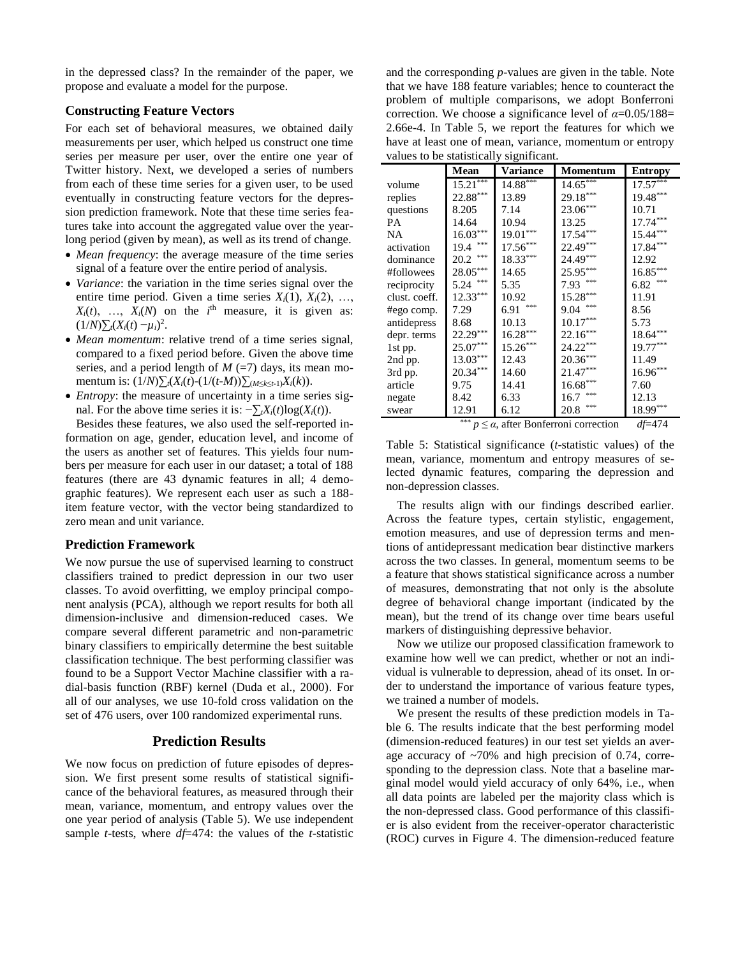in the depressed class? In the remainder of the paper, we propose and evaluate a model for the purpose.

#### **Constructing Feature Vectors**

For each set of behavioral measures, we obtained daily measurements per user, which helped us construct one time series per measure per user, over the entire one year of Twitter history. Next, we developed a series of numbers from each of these time series for a given user, to be used eventually in constructing feature vectors for the depression prediction framework. Note that these time series features take into account the aggregated value over the yearlong period (given by mean), as well as its trend of change.

- *Mean frequency*: the average measure of the time series signal of a feature over the entire period of analysis.
- *Variance*: the variation in the time series signal over the entire time period. Given a time series  $X_i(1)$ ,  $X_i(2)$ , ...  $X_i(t)$ , ...,  $X_i(N)$  on the  $i$ <sup>th</sup> measure, it is given as:  $(1/N)\sum_{i}(X_i(t)-\mu_i)^2$ .
- *Mean momentum*: relative trend of a time series signal, compared to a fixed period before. Given the above time series, and a period length of  $M$  (=7) days, its mean momentum is:  $(1/N)\sum_{i}(X_i(t) - (1/(t-M))\sum_{i} (M \le k \le t-1)X_i(k)).$
- *Entropy*: the measure of uncertainty in a time series signal. For the above time series it is:  $\neg \sum t X_i(t) \log(X_i(t))$ .

Besides these features, we also used the self-reported information on age, gender, education level, and income of the users as another set of features. This yields four numbers per measure for each user in our dataset; a total of 188 features (there are 43 dynamic features in all; 4 demographic features). We represent each user as such a 188 item feature vector, with the vector being standardized to zero mean and unit variance.

## **Prediction Framework**

We now pursue the use of supervised learning to construct classifiers trained to predict depression in our two user classes. To avoid overfitting, we employ principal component analysis (PCA), although we report results for both all dimension-inclusive and dimension-reduced cases. We compare several different parametric and non-parametric binary classifiers to empirically determine the best suitable classification technique. The best performing classifier was found to be a Support Vector Machine classifier with a radial-basis function (RBF) kernel (Duda et al., 2000). For all of our analyses, we use 10-fold cross validation on the set of 476 users, over 100 randomized experimental runs.

## **Prediction Results**

We now focus on prediction of future episodes of depression. We first present some results of statistical significance of the behavioral features, as measured through their mean, variance, momentum, and entropy values over the one year period of analysis (Table 5). We use independent sample *t*-tests, where *df*=474: the values of the *t*-statistic

and the corresponding *p*-values are given in the table. Note that we have 188 feature variables; hence to counteract the problem of multiple comparisons, we adopt Bonferroni correction. We choose a significance level of *α*=0.05/188= 2.66e-4. In Table 5, we report the features for which we have at least one of mean, variance, momentum or entropy values to be statistically significant.

|               | Mean                   | Variance   | Momentum    | Entropy     |
|---------------|------------------------|------------|-------------|-------------|
| volume        | $15.21***$             | $14.88***$ | $14.65***$  | $17.57***$  |
| replies       | $22.88***$             | 13.89      | $29.18***$  | $19.48***$  |
| questions     | 8.205                  | 7.14       | 23.06***    | 10.71       |
| <b>PA</b>     | 14.64                  | 10.94      | 13.25       | $17.74***$  |
| <b>NA</b>     | $16.03***$             | $19.01***$ | $17.54***$  | 15.44***    |
| activation    | $\ast\ast\ast$<br>19.4 | $17.56***$ | 22.49***    | $17.84***$  |
| dominance     | $***$<br>20.2          | 18.33***   | 24.49***    | 12.92       |
| #followees    | $28.05***$             | 14.65      | 25.95***    | $16.85***$  |
| reciprocity   | $***$<br>5.24          | 5.35       | $7.93$ ***  | ***<br>6.82 |
| clust. coeff. | $12.33***$             | 10.92      | $15.28***$  | 11.91       |
| #ego comp.    | 7.29                   | 6.91       | 9.04        | 8.56        |
| antidepress   | 8.68                   | 10.13      | $10.17***$  | 5.73        |
| depr. terms   | $22.29***$             | $16.28***$ | $22.16***$  | $18.64***$  |
| 1st pp.       | $25.07***$             | $15.26***$ | 24.22***    | $19.77***$  |
| 2nd pp.       | $13.03***$             | 12.43      | $20.36***$  | 11.49       |
| 3rd pp.       | $20.34***$             | 14.60      | $21.47***$  | $16.96***$  |
| article       | 9.75                   | 14.41      | $16.68***$  | 7.60        |
| negate        | 8.42                   | 6.33       | ***<br>16.7 | 12.13       |
| swear         | 12.91<br>de de de      | 6.12       | ***<br>20.8 | $18.99***$  |

 $p \leq \alpha$ , after Bonferroni correction *df*=474

Table 5: Statistical significance (*t*-statistic values) of the mean, variance, momentum and entropy measures of selected dynamic features, comparing the depression and non-depression classes.

The results align with our findings described earlier. Across the feature types, certain stylistic, engagement, emotion measures, and use of depression terms and mentions of antidepressant medication bear distinctive markers across the two classes. In general, momentum seems to be a feature that shows statistical significance across a number of measures, demonstrating that not only is the absolute degree of behavioral change important (indicated by the mean), but the trend of its change over time bears useful markers of distinguishing depressive behavior.

Now we utilize our proposed classification framework to examine how well we can predict, whether or not an individual is vulnerable to depression, ahead of its onset. In order to understand the importance of various feature types, we trained a number of models.

We present the results of these prediction models in Table 6. The results indicate that the best performing model (dimension-reduced features) in our test set yields an average accuracy of  $\sim$ 70% and high precision of 0.74, corresponding to the depression class. Note that a baseline marginal model would yield accuracy of only 64%, i.e., when all data points are labeled per the majority class which is the non-depressed class. Good performance of this classifier is also evident from the receiver-operator characteristic (ROC) curves in Figure 4. The dimension-reduced feature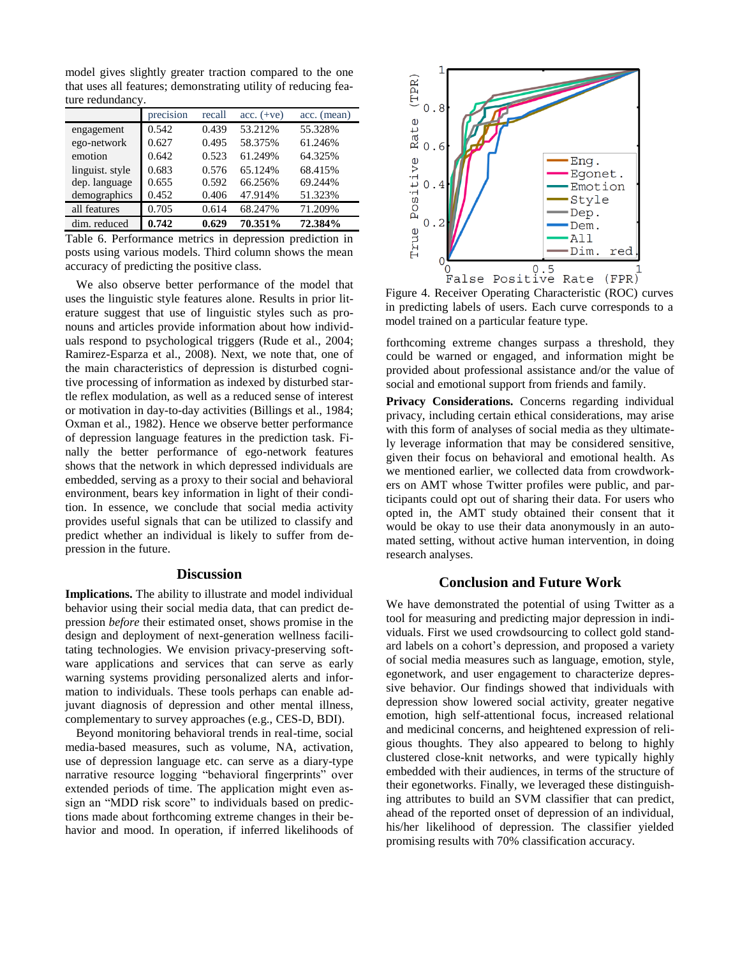model gives slightly greater traction compared to the one that uses all features; demonstrating utility of reducing feature redundancy.

|                 | precision | recall | $acc. (+ve)$ | acc. (mean) |
|-----------------|-----------|--------|--------------|-------------|
| engagement      | 0.542     | 0.439  | 53.212%      | 55.328%     |
| ego-network     | 0.627     | 0.495  | 58.375%      | 61.246%     |
| emotion         | 0.642     | 0.523  | 61.249%      | 64.325%     |
| linguist. style | 0.683     | 0.576  | 65.124%      | 68.415%     |
| dep. language   | 0.655     | 0.592  | 66.256%      | 69.244%     |
| demographics    | 0.452     | 0.406  | 47.914%      | 51.323%     |
| all features    | 0.705     | 0.614  | 68.247%      | 71.209%     |
| dim. reduced    | 0.742     | 0.629  | 70.351%      | 72.384%     |

Table 6. Performance metrics in depression prediction in posts using various models. Third column shows the mean accuracy of predicting the positive class.

We also observe better performance of the model that uses the linguistic style features alone. Results in prior literature suggest that use of linguistic styles such as pronouns and articles provide information about how individuals respond to psychological triggers (Rude et al., 2004; Ramirez-Esparza et al., 2008). Next, we note that, one of the main characteristics of depression is disturbed cognitive processing of information as indexed by disturbed startle reflex modulation, as well as a reduced sense of interest or motivation in day-to-day activities (Billings et al., 1984; Oxman et al., 1982). Hence we observe better performance of depression language features in the prediction task. Finally the better performance of ego-network features shows that the network in which depressed individuals are embedded, serving as a proxy to their social and behavioral environment, bears key information in light of their condition. In essence, we conclude that social media activity provides useful signals that can be utilized to classify and predict whether an individual is likely to suffer from depression in the future.

## **Discussion**

**Implications.** The ability to illustrate and model individual behavior using their social media data, that can predict depression *before* their estimated onset, shows promise in the design and deployment of next-generation wellness facilitating technologies. We envision privacy-preserving software applications and services that can serve as early warning systems providing personalized alerts and information to individuals. These tools perhaps can enable adjuvant diagnosis of depression and other mental illness, complementary to survey approaches (e.g., CES-D, BDI).

Beyond monitoring behavioral trends in real-time, social media-based measures, such as volume, NA, activation, use of depression language etc. can serve as a diary-type narrative resource logging "behavioral fingerprints" over extended periods of time. The application might even assign an "MDD risk score" to individuals based on predictions made about forthcoming extreme changes in their behavior and mood. In operation, if inferred likelihoods of



Figure 4. Receiver Operating Characteristic (ROC) curves in predicting labels of users. Each curve corresponds to a model trained on a particular feature type.

forthcoming extreme changes surpass a threshold, they could be warned or engaged, and information might be provided about professional assistance and/or the value of social and emotional support from friends and family.

Privacy Considerations. Concerns regarding individual privacy, including certain ethical considerations, may arise with this form of analyses of social media as they ultimately leverage information that may be considered sensitive, given their focus on behavioral and emotional health. As we mentioned earlier, we collected data from crowdworkers on AMT whose Twitter profiles were public, and participants could opt out of sharing their data. For users who opted in, the AMT study obtained their consent that it would be okay to use their data anonymously in an automated setting, without active human intervention, in doing research analyses.

## **Conclusion and Future Work**

We have demonstrated the potential of using Twitter as a tool for measuring and predicting major depression in individuals. First we used crowdsourcing to collect gold standard labels on a cohort's depression, and proposed a variety of social media measures such as language, emotion, style, egonetwork, and user engagement to characterize depressive behavior. Our findings showed that individuals with depression show lowered social activity, greater negative emotion, high self-attentional focus, increased relational and medicinal concerns, and heightened expression of religious thoughts. They also appeared to belong to highly clustered close-knit networks, and were typically highly embedded with their audiences, in terms of the structure of their egonetworks. Finally, we leveraged these distinguishing attributes to build an SVM classifier that can predict, ahead of the reported onset of depression of an individual, his/her likelihood of depression. The classifier yielded promising results with 70% classification accuracy.